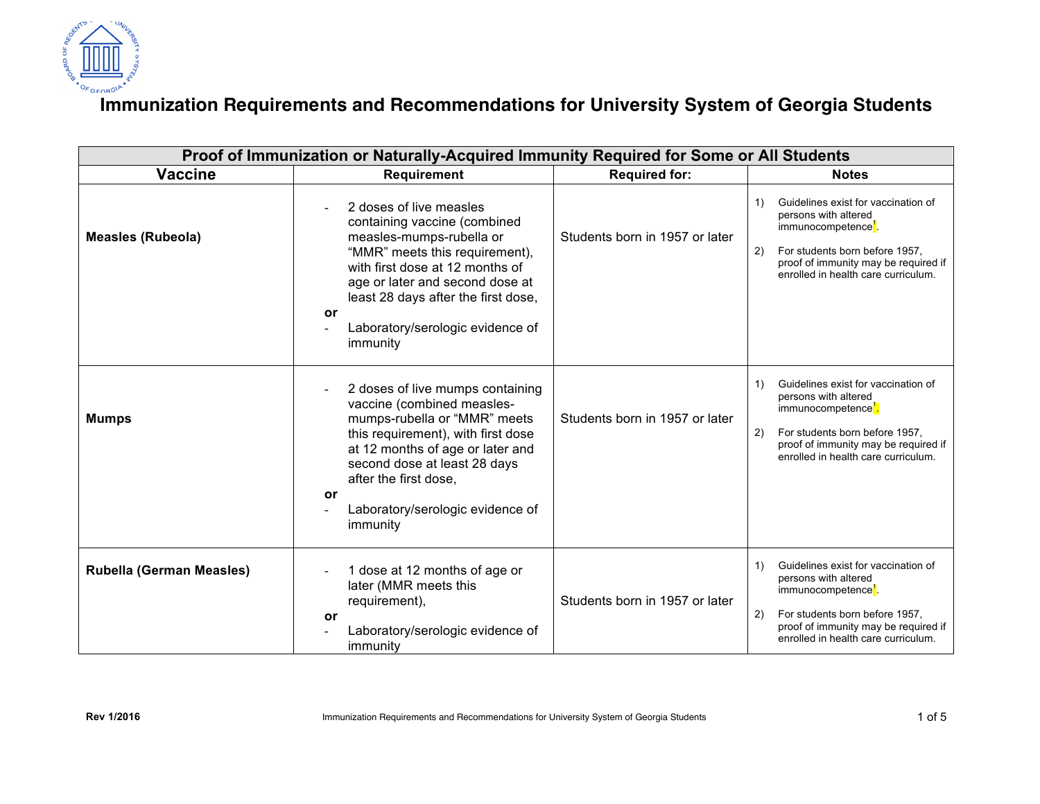

## **Immunization Requirements and Recommendations for University System of Georgia Students**

| Proof of Immunization or Naturally-Acquired Immunity Required for Some or All Students |                                                                                                                                                                                                                                                                                          |                                |                                                                                                                                                                                                                             |  |
|----------------------------------------------------------------------------------------|------------------------------------------------------------------------------------------------------------------------------------------------------------------------------------------------------------------------------------------------------------------------------------------|--------------------------------|-----------------------------------------------------------------------------------------------------------------------------------------------------------------------------------------------------------------------------|--|
| <b>Vaccine</b>                                                                         | Requirement                                                                                                                                                                                                                                                                              | <b>Required for:</b>           | <b>Notes</b>                                                                                                                                                                                                                |  |
| <b>Measles (Rubeola)</b>                                                               | 2 doses of live measles<br>containing vaccine (combined<br>measles-mumps-rubella or<br>"MMR" meets this requirement),<br>with first dose at 12 months of<br>age or later and second dose at<br>least 28 days after the first dose,<br>or<br>Laboratory/serologic evidence of<br>immunity | Students born in 1957 or later | Guidelines exist for vaccination of<br>1)<br>persons with altered<br>immunocompetence'.<br>For students born before 1957,<br>2)<br>proof of immunity may be required if<br>enrolled in health care curriculum.              |  |
| <b>Mumps</b>                                                                           | 2 doses of live mumps containing<br>vaccine (combined measles-<br>mumps-rubella or "MMR" meets<br>this requirement), with first dose<br>at 12 months of age or later and<br>second dose at least 28 days<br>after the first dose,<br>or<br>Laboratory/serologic evidence of<br>immunity  | Students born in 1957 or later | Guidelines exist for vaccination of<br>1)<br>persons with altered<br>immunocompetence <sup>1</sup> .<br>For students born before 1957,<br>2)<br>proof of immunity may be required if<br>enrolled in health care curriculum. |  |
| <b>Rubella (German Measles)</b>                                                        | 1 dose at 12 months of age or<br>later (MMR meets this<br>requirement),<br>or<br>Laboratory/serologic evidence of<br>immunity                                                                                                                                                            | Students born in 1957 or later | Guidelines exist for vaccination of<br>1)<br>persons with altered<br>immunocompetence <sup>1</sup> .<br>2)<br>For students born before 1957,<br>proof of immunity may be required if<br>enrolled in health care curriculum. |  |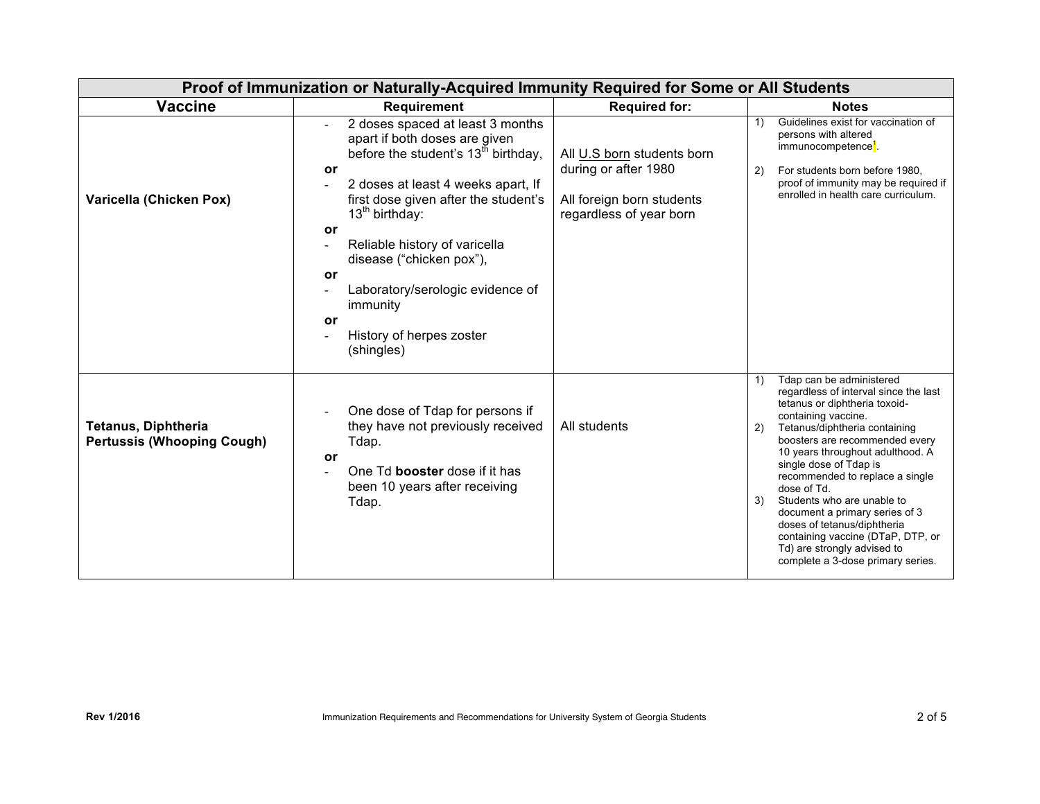| Proof of Immunization or Naturally-Acquired Immunity Required for Some or All Students |                                                                                                                                                                                                                                                                                                                                                                                                                         |                                                                                                            |                                                                                                                                                                                                                                                                                                                                                                                                                                                                                                                                        |  |
|----------------------------------------------------------------------------------------|-------------------------------------------------------------------------------------------------------------------------------------------------------------------------------------------------------------------------------------------------------------------------------------------------------------------------------------------------------------------------------------------------------------------------|------------------------------------------------------------------------------------------------------------|----------------------------------------------------------------------------------------------------------------------------------------------------------------------------------------------------------------------------------------------------------------------------------------------------------------------------------------------------------------------------------------------------------------------------------------------------------------------------------------------------------------------------------------|--|
| <b>Vaccine</b>                                                                         | <b>Requirement</b>                                                                                                                                                                                                                                                                                                                                                                                                      | <b>Required for:</b>                                                                                       | <b>Notes</b>                                                                                                                                                                                                                                                                                                                                                                                                                                                                                                                           |  |
| Varicella (Chicken Pox)                                                                | 2 doses spaced at least 3 months<br>apart if both doses are given<br>before the student's 13 <sup>th</sup> birthday,<br>or<br>2 doses at least 4 weeks apart, If<br>$\blacksquare$<br>first dose given after the student's<br>$13th$ birthday:<br>or<br>Reliable history of varicella<br>disease ("chicken pox"),<br>or<br>Laboratory/serologic evidence of<br>immunity<br>or<br>History of herpes zoster<br>(shingles) | All U.S born students born<br>during or after 1980<br>All foreign born students<br>regardless of year born | Guidelines exist for vaccination of<br>1)<br>persons with altered<br>immunocompetence <sup>1</sup><br>For students born before 1980,<br>2)<br>proof of immunity may be required if<br>enrolled in health care curriculum.                                                                                                                                                                                                                                                                                                              |  |
| <b>Tetanus, Diphtheria</b><br><b>Pertussis (Whooping Cough)</b>                        | One dose of Tdap for persons if<br>they have not previously received<br>Tdap.<br>or<br>One Td booster dose if it has<br>been 10 years after receiving<br>Tdap.                                                                                                                                                                                                                                                          | All students                                                                                               | Tdap can be administered<br>1)<br>regardless of interval since the last<br>tetanus or diphtheria toxoid-<br>containing vaccine.<br>Tetanus/diphtheria containing<br>2)<br>boosters are recommended every<br>10 years throughout adulthood. A<br>single dose of Tdap is<br>recommended to replace a single<br>dose of Td.<br>Students who are unable to<br>3)<br>document a primary series of 3<br>doses of tetanus/diphtheria<br>containing vaccine (DTaP, DTP, or<br>Td) are strongly advised to<br>complete a 3-dose primary series. |  |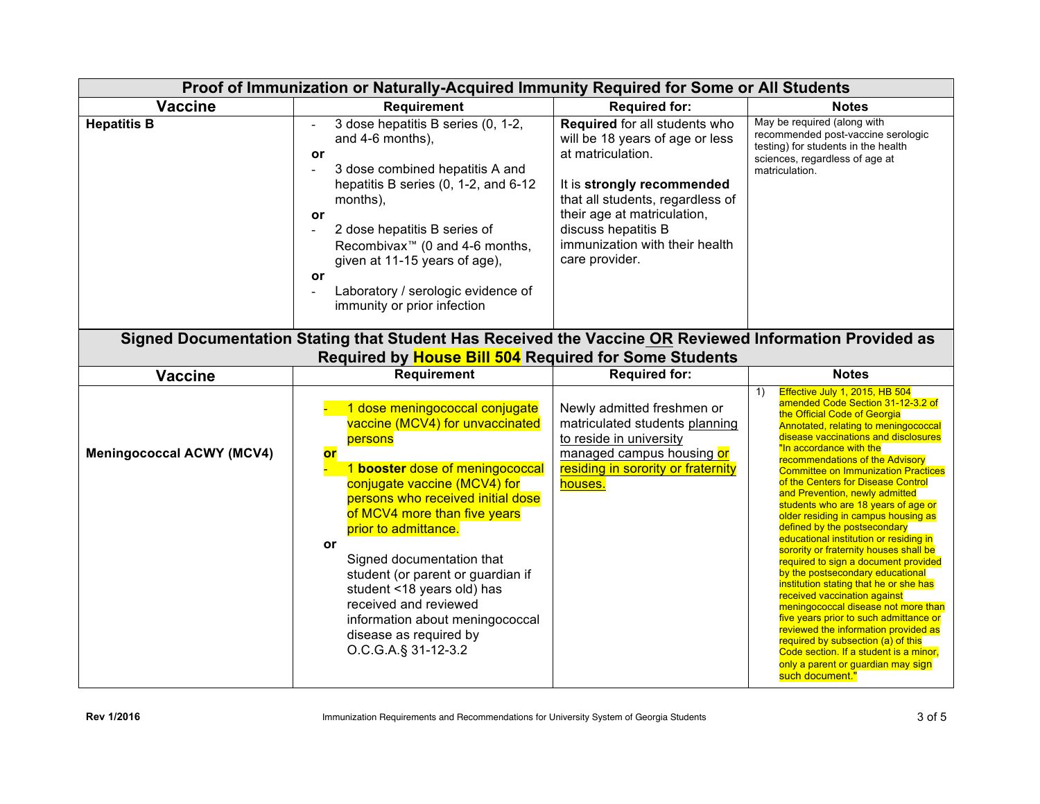| Proof of Immunization or Naturally-Acquired Immunity Required for Some or All Students                                                                          |                                                                                                                                                                                                                                                                                                                                                                                                                                                                       |                                                                                                                                                                                                                                                                   |                                                                                                                                                                                                                                                                                                                                                                                                                                                                                                                                                                                                                                                                                                                                                                                                                                                                                                                                                                                                         |  |
|-----------------------------------------------------------------------------------------------------------------------------------------------------------------|-----------------------------------------------------------------------------------------------------------------------------------------------------------------------------------------------------------------------------------------------------------------------------------------------------------------------------------------------------------------------------------------------------------------------------------------------------------------------|-------------------------------------------------------------------------------------------------------------------------------------------------------------------------------------------------------------------------------------------------------------------|---------------------------------------------------------------------------------------------------------------------------------------------------------------------------------------------------------------------------------------------------------------------------------------------------------------------------------------------------------------------------------------------------------------------------------------------------------------------------------------------------------------------------------------------------------------------------------------------------------------------------------------------------------------------------------------------------------------------------------------------------------------------------------------------------------------------------------------------------------------------------------------------------------------------------------------------------------------------------------------------------------|--|
| <b>Vaccine</b>                                                                                                                                                  | <b>Requirement</b>                                                                                                                                                                                                                                                                                                                                                                                                                                                    | <b>Required for:</b>                                                                                                                                                                                                                                              | <b>Notes</b>                                                                                                                                                                                                                                                                                                                                                                                                                                                                                                                                                                                                                                                                                                                                                                                                                                                                                                                                                                                            |  |
| <b>Hepatitis B</b>                                                                                                                                              | 3 dose hepatitis B series (0, 1-2,<br>and 4-6 months),<br>or<br>3 dose combined hepatitis A and<br>$\overline{a}$<br>hepatitis B series (0, 1-2, and 6-12<br>months),<br>or<br>2 dose hepatitis B series of<br>$\blacksquare$<br>Recombivax <sup>™</sup> (0 and 4-6 months,<br>given at 11-15 years of age),<br>or<br>Laboratory / serologic evidence of<br>$\blacksquare$<br>immunity or prior infection                                                             | Required for all students who<br>will be 18 years of age or less<br>at matriculation.<br>It is strongly recommended<br>that all students, regardless of<br>their age at matriculation,<br>discuss hepatitis B<br>immunization with their health<br>care provider. | May be required (along with<br>recommended post-vaccine serologic<br>testing) for students in the health<br>sciences, regardless of age at<br>matriculation.                                                                                                                                                                                                                                                                                                                                                                                                                                                                                                                                                                                                                                                                                                                                                                                                                                            |  |
| Signed Documentation Stating that Student Has Received the Vaccine OR Reviewed Information Provided as<br>Required by House Bill 504 Required for Some Students |                                                                                                                                                                                                                                                                                                                                                                                                                                                                       |                                                                                                                                                                                                                                                                   |                                                                                                                                                                                                                                                                                                                                                                                                                                                                                                                                                                                                                                                                                                                                                                                                                                                                                                                                                                                                         |  |
| <b>Vaccine</b>                                                                                                                                                  | Requirement                                                                                                                                                                                                                                                                                                                                                                                                                                                           | <b>Required for:</b>                                                                                                                                                                                                                                              | <b>Notes</b>                                                                                                                                                                                                                                                                                                                                                                                                                                                                                                                                                                                                                                                                                                                                                                                                                                                                                                                                                                                            |  |
| <b>Meningococcal ACWY (MCV4)</b>                                                                                                                                | 1 dose meningococcal conjugate<br>vaccine (MCV4) for unvaccinated<br>persons<br>or<br>1 booster dose of meningococcal<br>conjugate vaccine (MCV4) for<br>persons who received initial dose<br>of MCV4 more than five years<br>prior to admittance.<br>or<br>Signed documentation that<br>student (or parent or guardian if<br>student <18 years old) has<br>received and reviewed<br>information about meningococcal<br>disease as required by<br>O.C.G.A.§ 31-12-3.2 | Newly admitted freshmen or<br>matriculated students planning<br>to reside in university<br>managed campus housing or<br>residing in sorority or fraternity<br>houses.                                                                                             | Effective July 1, 2015, HB 504<br>1)<br>amended Code Section 31-12-3.2 of<br>the Official Code of Georgia<br>Annotated, relating to meningococcal<br>disease vaccinations and disclosures<br>"In accordance with the<br>recommendations of the Advisory<br><b>Committee on Immunization Practices</b><br>of the Centers for Disease Control<br>and Prevention, newly admitted<br>students who are 18 years of age or<br>older residing in campus housing as<br>defined by the postsecondary<br>educational institution or residing in<br>sorority or fraternity houses shall be<br>required to sign a document provided<br>by the postsecondary educational<br>institution stating that he or she has<br>received vaccination against<br>meningococcal disease not more than<br>five years prior to such admittance or<br>reviewed the information provided as<br>required by subsection (a) of this<br>Code section. If a student is a minor,<br>only a parent or guardian may sign<br>such document." |  |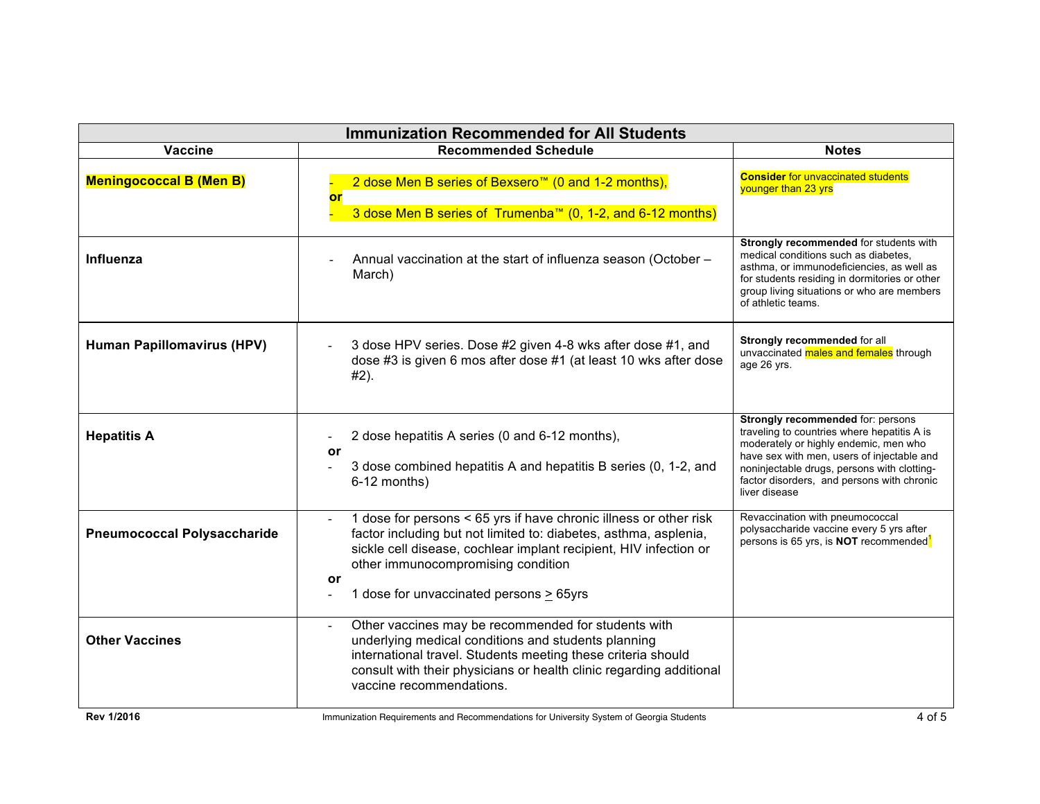| <b>Immunization Recommended for All Students</b> |                                                                                                                                                                                                                                                                                                                                                                                                                  |                                                                                                                                                                                                                                                                                       |  |  |
|--------------------------------------------------|------------------------------------------------------------------------------------------------------------------------------------------------------------------------------------------------------------------------------------------------------------------------------------------------------------------------------------------------------------------------------------------------------------------|---------------------------------------------------------------------------------------------------------------------------------------------------------------------------------------------------------------------------------------------------------------------------------------|--|--|
| <b>Vaccine</b>                                   | <b>Recommended Schedule</b>                                                                                                                                                                                                                                                                                                                                                                                      | <b>Notes</b>                                                                                                                                                                                                                                                                          |  |  |
| <b>Meningococcal B (Men B)</b>                   | 2 dose Men B series of Bexsero <sup>™</sup> (0 and 1-2 months),<br>or<br>3 dose Men B series of Trumenba™ (0, 1-2, and 6-12 months)                                                                                                                                                                                                                                                                              | <b>Consider for unvaccinated students</b><br>younger than 23 yrs                                                                                                                                                                                                                      |  |  |
| Influenza                                        | Annual vaccination at the start of influenza season (October -<br>March)                                                                                                                                                                                                                                                                                                                                         | Strongly recommended for students with<br>medical conditions such as diabetes,<br>asthma, or immunodeficiencies, as well as<br>for students residing in dormitories or other<br>group living situations or who are members<br>of athletic teams.                                      |  |  |
| <b>Human Papillomavirus (HPV)</b>                | 3 dose HPV series. Dose #2 given 4-8 wks after dose #1, and<br>dose #3 is given 6 mos after dose #1 (at least 10 wks after dose<br>#2).                                                                                                                                                                                                                                                                          | Strongly recommended for all<br>unvaccinated males and females through<br>age 26 yrs.                                                                                                                                                                                                 |  |  |
| <b>Hepatitis A</b>                               | 2 dose hepatitis A series (0 and 6-12 months),<br>or<br>3 dose combined hepatitis A and hepatitis B series (0, 1-2, and<br>$\blacksquare$<br>6-12 months)                                                                                                                                                                                                                                                        | Strongly recommended for: persons<br>traveling to countries where hepatitis A is<br>moderately or highly endemic, men who<br>have sex with men, users of injectable and<br>noninjectable drugs, persons with clotting-<br>factor disorders, and persons with chronic<br>liver disease |  |  |
| <b>Pneumococcal Polysaccharide</b>               | 1 dose for persons < 65 yrs if have chronic illness or other risk<br>factor including but not limited to: diabetes, asthma, asplenia,<br>sickle cell disease, cochlear implant recipient, HIV infection or<br>other immunocompromising condition<br>or<br>1 dose for unvaccinated persons > 65yrs                                                                                                                | Revaccination with pneumococcal<br>polysaccharide vaccine every 5 yrs after<br>persons is 65 yrs, is NOT recommended <sup>1</sup>                                                                                                                                                     |  |  |
| <b>Other Vaccines</b><br>$P_{21}$ , $10010$      | Other vaccines may be recommended for students with<br>L,<br>underlying medical conditions and students planning<br>international travel. Students meeting these criteria should<br>consult with their physicians or health clinic regarding additional<br>vaccine recommendations.<br>$\mathcal{A}$ . The contract of the contract of $\mathcal{A}$ , and $\mathcal{A}$ , and $\mathcal{A}$ , and $\mathcal{A}$ |                                                                                                                                                                                                                                                                                       |  |  |